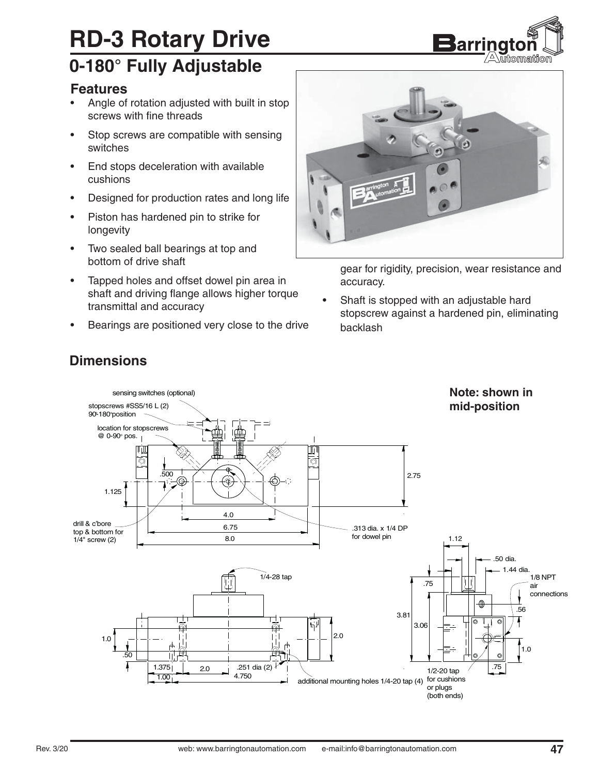# **RD-3 Rotary Drive**

### **0-180° Fully Adjustable**

#### **Features**

- Angle of rotation adjusted with built in stop screws with fine threads
- Stop screws are compatible with sensing switches
- End stops deceleration with available cushions
- Designed for production rates and long life
- Piston has hardened pin to strike for longevity
- Two sealed ball bearings at top and bottom of drive shaft
- Tapped holes and offset dowel pin area in shaft and driving flange allows higher torque transmittal and accuracy
- Bearings are positioned very close to the drive



<u>Barring</u>tor

 $\sqrt{\triangle}$  wito maition

gear for rigidity, precision, wear resistance and accuracy.

• Shaft is stopped with an adjustable hard stopscrew against a hardened pin, eliminating backlash



#### **Dimensions**